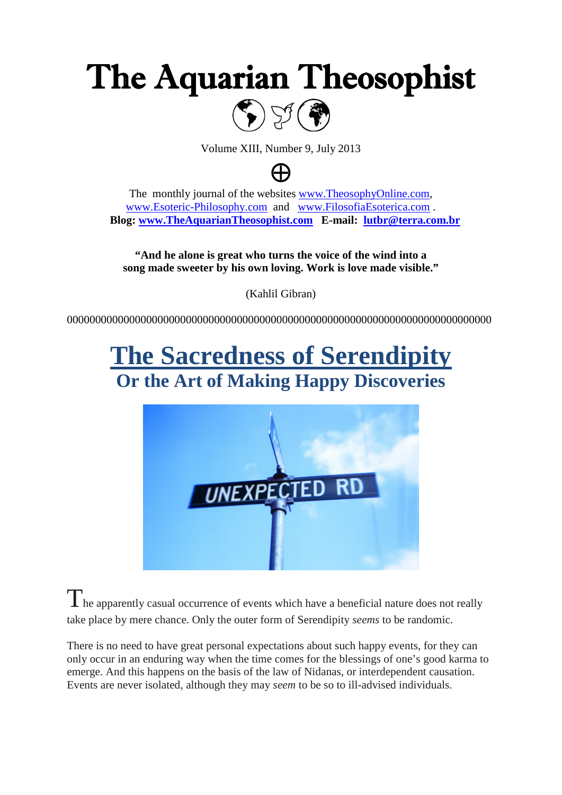# The Aquarian Theosophist



Volume XIII, Number 9, July 2013

⊕

The monthly journal of the websites [www.TheosophyOnline.com,](http://www.theosophyonline.com/) [www.Esoteric-Philosophy.com](http://www.esoteric-philosophy.com/) and [www.FilosofiaEsoterica.com](http://www.filosofiaesoterica.com/) .  **Blog: [www.TheAquarianTheosophist.com](http://www.theaquariantheosophist.com/) E-mail: [lutbr@terra.com.br](mailto:lutbr@terra.com.br)**

**"And he alone is great who turns the voice of the wind into a song made sweeter by his own loving. Work is love made visible."** 

(Kahlil Gibran)

000000000000000000000000000000000000000000000000000000000000000000000000000

# **The Sacredness of Serendipity Or the Art of Making Happy Discoveries**



**T** he apparently casual occurrence of events which have a beneficial nature does not really take place by mere chance. Only the outer form of Serendipity *seems* to be randomic.

There is no need to have great personal expectations about such happy events, for they can only occur in an enduring way when the time comes for the blessings of one's good karma to emerge. And this happens on the basis of the law of Nidanas, or interdependent causation. Events are never isolated, although they may *seem* to be so to ill-advised individuals.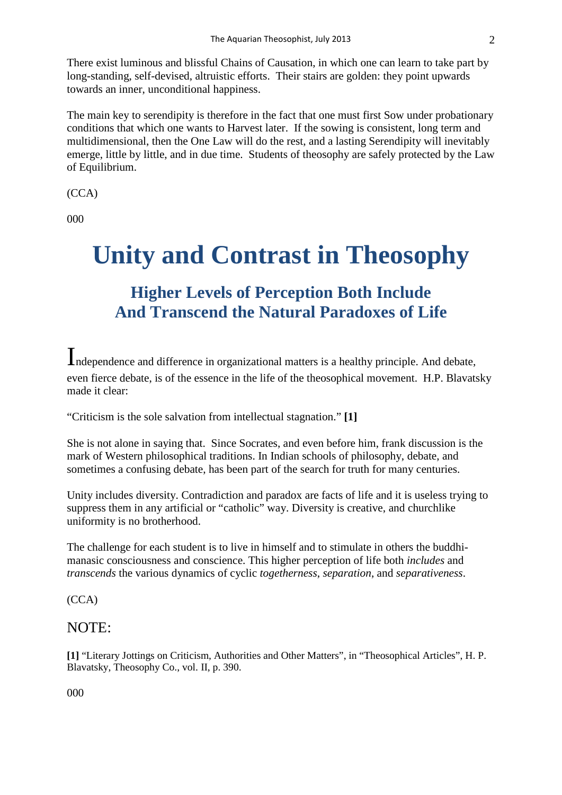There exist luminous and blissful Chains of Causation, in which one can learn to take part by long-standing, self-devised, altruistic efforts. Their stairs are golden: they point upwards towards an inner, unconditional happiness.

The main key to serendipity is therefore in the fact that one must first Sow under probationary conditions that which one wants to Harvest later. If the sowing is consistent, long term and multidimensional, then the One Law will do the rest, and a lasting Serendipity will inevitably emerge, little by little, and in due time. Students of theosophy are safely protected by the Law of Equilibrium.

(CCA)

000

# **Unity and Contrast in Theosophy**

### **Higher Levels of Perception Both Include And Transcend the Natural Paradoxes of Life**

Independence and difference in organizational matters is a healthy principle. And debate, even fierce debate, is of the essence in the life of the theosophical movement. H.P. Blavatsky made it clear:

"Criticism is the sole salvation from intellectual stagnation." **[1]**

She is not alone in saying that. Since Socrates, and even before him, frank discussion is the mark of Western philosophical traditions. In Indian schools of philosophy, debate, and sometimes a confusing debate, has been part of the search for truth for many centuries.

Unity includes diversity. Contradiction and paradox are facts of life and it is useless trying to suppress them in any artificial or "catholic" way. Diversity is creative, and churchlike uniformity is no brotherhood.

The challenge for each student is to live in himself and to stimulate in others the buddhimanasic consciousness and conscience. This higher perception of life both *includes* and *transcends* the various dynamics of cyclic *togetherness*, *separation*, and *separativeness*.

(CCA)

#### NOTE:

**[1]** "Literary Jottings on Criticism, Authorities and Other Matters", in "Theosophical Articles", H. P. Blavatsky, Theosophy Co., vol. II, p. 390.

000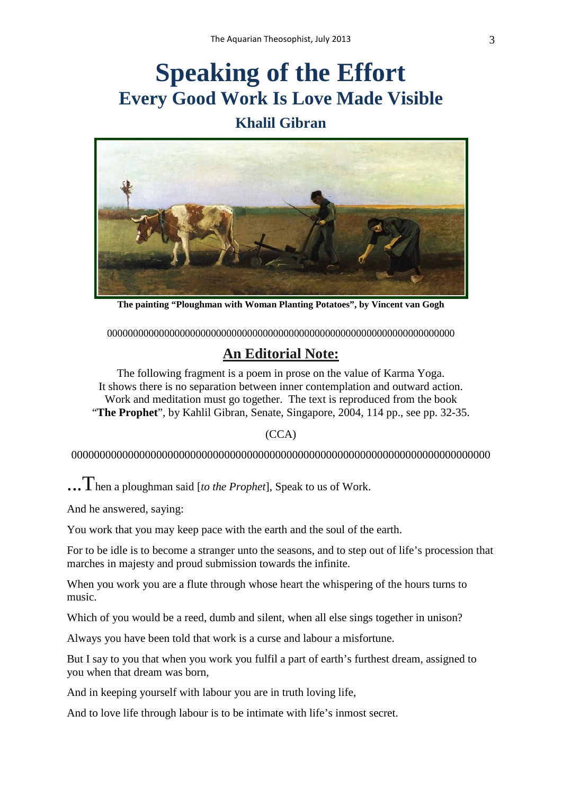### **Speaking of the Effort Every Good Work Is Love Made Visible Khalil Gibran**



**The painting "Ploughman with Woman Planting Potatoes", by Vincent van Gogh**

0000000000000000000000000000000000000000000000000000000000000000000

### **An Editorial Note:**

The following fragment is a poem in prose on the value of Karma Yoga. It shows there is no separation between inner contemplation and outward action. Work and meditation must go together. The text is reproduced from the book "**The Prophet**", by Kahlil Gibran, Senate, Singapore, 2004, 114 pp., see pp. 32-35.

#### (CCA)

00000000000000000000000000000000000000000000000000000000000000000000000000

...Then a ploughman said [*to the Prophet*], Speak to us of Work.

And he answered, saying:

You work that you may keep pace with the earth and the soul of the earth.

For to be idle is to become a stranger unto the seasons, and to step out of life's procession that marches in majesty and proud submission towards the infinite.

When you work you are a flute through whose heart the whispering of the hours turns to music.

Which of you would be a reed, dumb and silent, when all else sings together in unison?

Always you have been told that work is a curse and labour a misfortune.

But I say to you that when you work you fulfil a part of earth's furthest dream, assigned to you when that dream was born,

And in keeping yourself with labour you are in truth loving life,

And to love life through labour is to be intimate with life's inmost secret.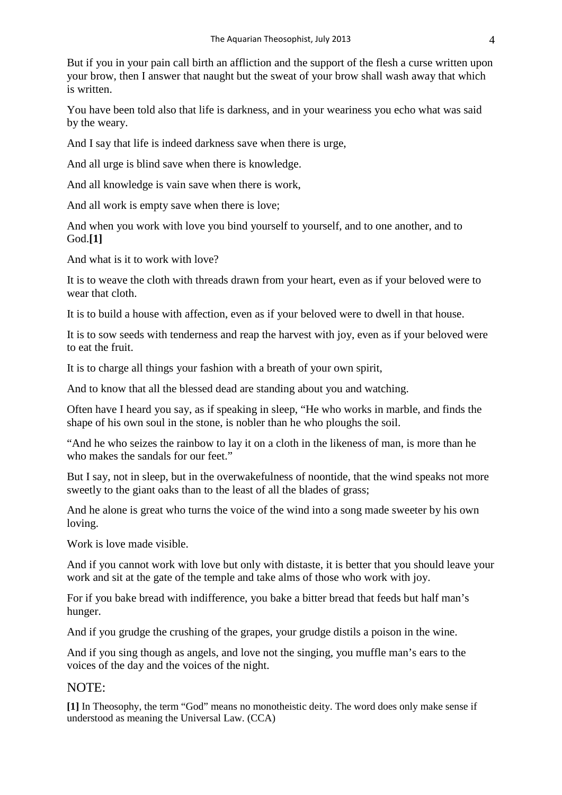But if you in your pain call birth an affliction and the support of the flesh a curse written upon your brow, then I answer that naught but the sweat of your brow shall wash away that which is written.

You have been told also that life is darkness, and in your weariness you echo what was said by the weary.

And I say that life is indeed darkness save when there is urge,

And all urge is blind save when there is knowledge.

And all knowledge is vain save when there is work,

And all work is empty save when there is love;

And when you work with love you bind yourself to yourself, and to one another, and to God.**[1]**

And what is it to work with love?

It is to weave the cloth with threads drawn from your heart, even as if your beloved were to wear that cloth.

It is to build a house with affection, even as if your beloved were to dwell in that house.

It is to sow seeds with tenderness and reap the harvest with joy, even as if your beloved were to eat the fruit.

It is to charge all things your fashion with a breath of your own spirit,

And to know that all the blessed dead are standing about you and watching.

Often have I heard you say, as if speaking in sleep, "He who works in marble, and finds the shape of his own soul in the stone, is nobler than he who ploughs the soil.

"And he who seizes the rainbow to lay it on a cloth in the likeness of man, is more than he who makes the sandals for our feet."

But I say, not in sleep, but in the overwakefulness of noontide, that the wind speaks not more sweetly to the giant oaks than to the least of all the blades of grass;

And he alone is great who turns the voice of the wind into a song made sweeter by his own loving.

Work is love made visible.

And if you cannot work with love but only with distaste, it is better that you should leave your work and sit at the gate of the temple and take alms of those who work with joy.

For if you bake bread with indifference, you bake a bitter bread that feeds but half man's hunger.

And if you grudge the crushing of the grapes, your grudge distils a poison in the wine.

And if you sing though as angels, and love not the singing, you muffle man's ears to the voices of the day and the voices of the night.

#### NOTE:

**[1]** In Theosophy, the term "God" means no monotheistic deity. The word does only make sense if understood as meaning the Universal Law. (CCA)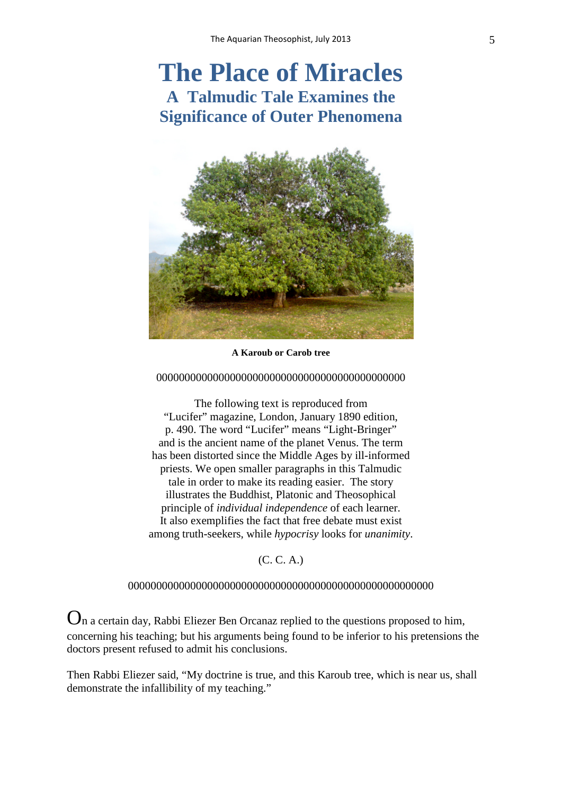### **The Place of Miracles A Talmudic Tale Examines the Significance of Outer Phenomena**



**A Karoub or Carob tree**

#### 00000000000000000000000000000000000000000000

The following text is reproduced from "Lucifer" magazine, London, January 1890 edition, p. 490. The word "Lucifer" means "Light-Bringer" and is the ancient name of the planet Venus. The term has been distorted since the Middle Ages by ill-informed priests. We open smaller paragraphs in this Talmudic tale in order to make its reading easier. The story illustrates the Buddhist, Platonic and Theosophical principle of *individual independence* of each learner. It also exemplifies the fact that free debate must exist among truth-seekers, while *hypocrisy* looks for *unanimity*.

(C. C. A.)

#### 000000000000000000000000000000000000000000000000000000

 $\mathbf{O}_n$  a certain day, Rabbi Eliezer Ben Orcanaz replied to the questions proposed to him, concerning his teaching; but his arguments being found to be inferior to his pretensions the doctors present refused to admit his conclusions.

Then Rabbi Eliezer said, "My doctrine is true, and this Karoub tree, which is near us, shall demonstrate the infallibility of my teaching."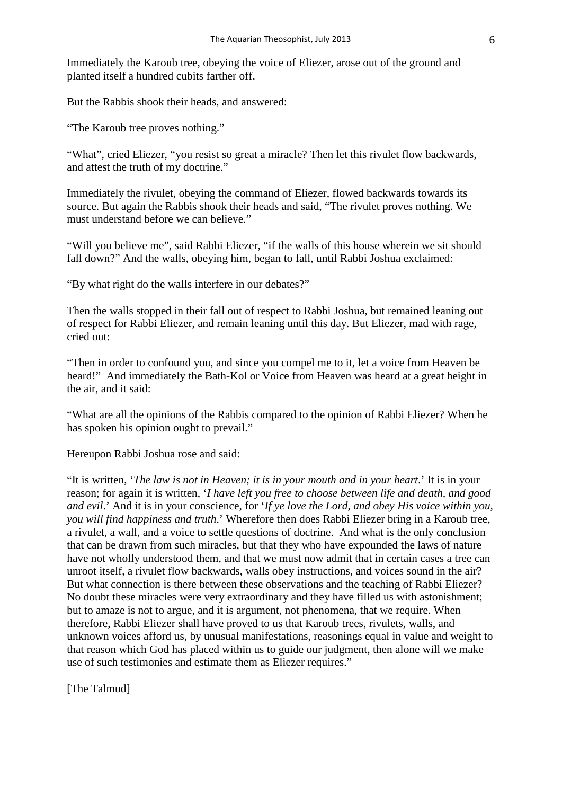Immediately the Karoub tree, obeying the voice of Eliezer, arose out of the ground and planted itself a hundred cubits farther off.

But the Rabbis shook their heads, and answered:

"The Karoub tree proves nothing."

"What", cried Eliezer, "you resist so great a miracle? Then let this rivulet flow backwards, and attest the truth of my doctrine."

Immediately the rivulet, obeying the command of Eliezer, flowed backwards towards its source. But again the Rabbis shook their heads and said, "The rivulet proves nothing. We must understand before we can believe."

"Will you believe me", said Rabbi Eliezer, "if the walls of this house wherein we sit should fall down?" And the walls, obeying him, began to fall, until Rabbi Joshua exclaimed:

"By what right do the walls interfere in our debates?"

Then the walls stopped in their fall out of respect to Rabbi Joshua, but remained leaning out of respect for Rabbi Eliezer, and remain leaning until this day. But Eliezer, mad with rage, cried out:

"Then in order to confound you, and since you compel me to it, let a voice from Heaven be heard!" And immediately the Bath-Kol or Voice from Heaven was heard at a great height in the air, and it said:

"What are all the opinions of the Rabbis compared to the opinion of Rabbi Eliezer? When he has spoken his opinion ought to prevail."

Hereupon Rabbi Joshua rose and said:

"It is written, '*The law is not in Heaven; it is in your mouth and in your heart*.' It is in your reason; for again it is written, '*I have left you free to choose between life and death, and good and evil*.' And it is in your conscience, for '*If ye love the Lord, and obey His voice within you, you will find happiness and truth*.' Wherefore then does Rabbi Eliezer bring in a Karoub tree, a rivulet, a wall, and a voice to settle questions of doctrine. And what is the only conclusion that can be drawn from such miracles, but that they who have expounded the laws of nature have not wholly understood them, and that we must now admit that in certain cases a tree can unroot itself, a rivulet flow backwards, walls obey instructions, and voices sound in the air? But what connection is there between these observations and the teaching of Rabbi Eliezer? No doubt these miracles were very extraordinary and they have filled us with astonishment; but to amaze is not to argue, and it is argument, not phenomena, that we require. When therefore, Rabbi Eliezer shall have proved to us that Karoub trees, rivulets, walls, and unknown voices afford us, by unusual manifestations, reasonings equal in value and weight to that reason which God has placed within us to guide our judgment, then alone will we make use of such testimonies and estimate them as Eliezer requires."

[The Talmud]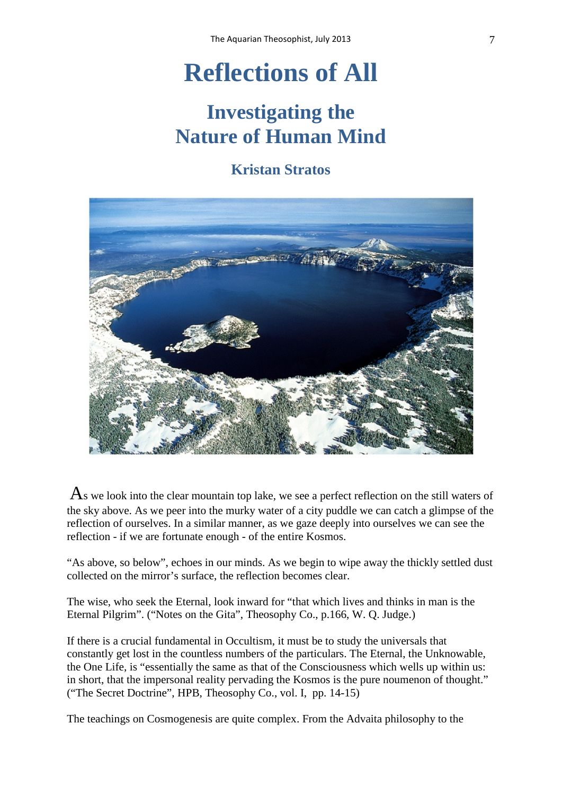# **Reflections of All**

### **Investigating the Nature of Human Mind**

### **Kristan Stratos**



 $\mathbf{A}$ s we look into the clear mountain top lake, we see a perfect reflection on the still waters of the sky above. As we peer into the murky water of a city puddle we can catch a glimpse of the reflection of ourselves. In a similar manner, as we gaze deeply into ourselves we can see the reflection - if we are fortunate enough - of the entire Kosmos.

"As above, so below", echoes in our minds. As we begin to wipe away the thickly settled dust collected on the mirror's surface, the reflection becomes clear.

The wise, who seek the Eternal, look inward for "that which lives and thinks in man is the Eternal Pilgrim". ("Notes on the Gita", Theosophy Co., p.166, W. Q. Judge.)

If there is a crucial fundamental in Occultism, it must be to study the universals that constantly get lost in the countless numbers of the particulars. The Eternal, the Unknowable, the One Life, is "essentially the same as that of the Consciousness which wells up within us: in short, that the impersonal reality pervading the Kosmos is the pure noumenon of thought." ("The Secret Doctrine", HPB, Theosophy Co., vol. I, pp. 14-15)

The teachings on Cosmogenesis are quite complex. From the Advaita philosophy to the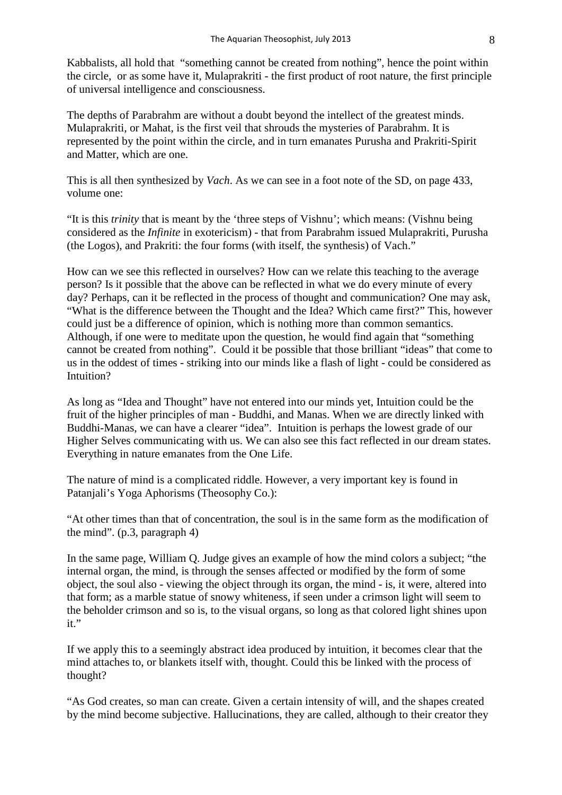Kabbalists, all hold that "something cannot be created from nothing", hence the point within the circle, or as some have it, Mulaprakriti - the first product of root nature, the first principle of universal intelligence and consciousness.

The depths of Parabrahm are without a doubt beyond the intellect of the greatest minds. Mulaprakriti, or Mahat, is the first veil that shrouds the mysteries of Parabrahm. It is represented by the point within the circle, and in turn emanates Purusha and Prakriti-Spirit and Matter, which are one.

This is all then synthesized by *Vach*. As we can see in a foot note of the SD, on page 433, volume one:

"It is this *trinity* that is meant by the 'three steps of Vishnu'; which means: (Vishnu being considered as the *Infinite* in exotericism) - that from Parabrahm issued Mulaprakriti, Purusha (the Logos), and Prakriti: the four forms (with itself, the synthesis) of Vach."

How can we see this reflected in ourselves? How can we relate this teaching to the average person? Is it possible that the above can be reflected in what we do every minute of every day? Perhaps, can it be reflected in the process of thought and communication? One may ask, "What is the difference between the Thought and the Idea? Which came first?" This, however could just be a difference of opinion, which is nothing more than common semantics. Although, if one were to meditate upon the question, he would find again that "something cannot be created from nothing". Could it be possible that those brilliant "ideas" that come to us in the oddest of times - striking into our minds like a flash of light - could be considered as Intuition?

As long as "Idea and Thought" have not entered into our minds yet, Intuition could be the fruit of the higher principles of man - Buddhi, and Manas. When we are directly linked with Buddhi-Manas, we can have a clearer "idea". Intuition is perhaps the lowest grade of our Higher Selves communicating with us. We can also see this fact reflected in our dream states. Everything in nature emanates from the One Life.

The nature of mind is a complicated riddle. However, a very important key is found in Patanjali's Yoga Aphorisms (Theosophy Co.):

"At other times than that of concentration, the soul is in the same form as the modification of the mind". (p.3, paragraph 4)

In the same page, William Q. Judge gives an example of how the mind colors a subject; "the internal organ, the mind, is through the senses affected or modified by the form of some object, the soul also - viewing the object through its organ, the mind - is, it were, altered into that form; as a marble statue of snowy whiteness, if seen under a crimson light will seem to the beholder crimson and so is, to the visual organs, so long as that colored light shines upon it."

If we apply this to a seemingly abstract idea produced by intuition, it becomes clear that the mind attaches to, or blankets itself with, thought. Could this be linked with the process of thought?

"As God creates, so man can create. Given a certain intensity of will, and the shapes created by the mind become subjective. Hallucinations, they are called, although to their creator they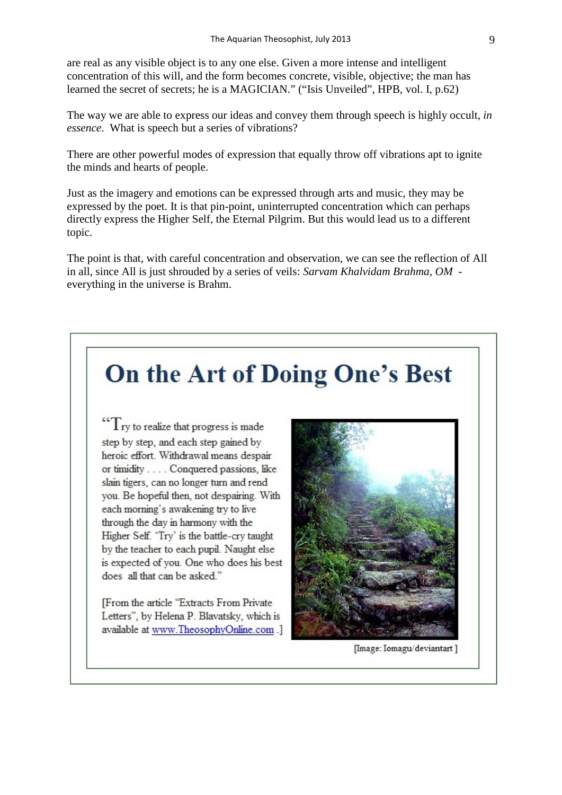are real as any visible object is to any one else. Given a more intense and intelligent concentration of this will, and the form becomes concrete, visible, objective; the man has learned the secret of secrets; he is a MAGICIAN." ("Isis Unveiled", HPB, vol. I, p.62)

The way we are able to express our ideas and convey them through speech is highly occult, *in essence*. What is speech but a series of vibrations?

There are other powerful modes of expression that equally throw off vibrations apt to ignite the minds and hearts of people.

Just as the imagery and emotions can be expressed through arts and music, they may be expressed by the poet. It is that pin-point, uninterrupted concentration which can perhaps directly express the Higher Self, the Eternal Pilgrim. But this would lead us to a different topic.

The point is that, with careful concentration and observation, we can see the reflection of All in all, since All is just shrouded by a series of veils: *Sarvam Khalvidam Brahma, OM* everything in the universe is Brahm.

# **On the Art of Doing One's Best**

 $\operatorname{``}\!\mathbf{T}_{\text{ry}}$  to realize that progress is made step by step, and each step gained by heroic effort. Withdrawal means despair or timidity . . . . Conquered passions, like slain tigers, can no longer turn and rend vou. Be hopeful then, not despairing. With each morning's awakening try to live through the day in harmony with the Higher Self. 'Try' is the battle-cry taught by the teacher to each pupil. Naught else is expected of you. One who does his best does all that can be asked."

[From the article "Extracts From Private Letters", by Helena P. Blavatsky, which is available at www.TheosophyOnline.com.1



[Image: Iomagu/deviantart]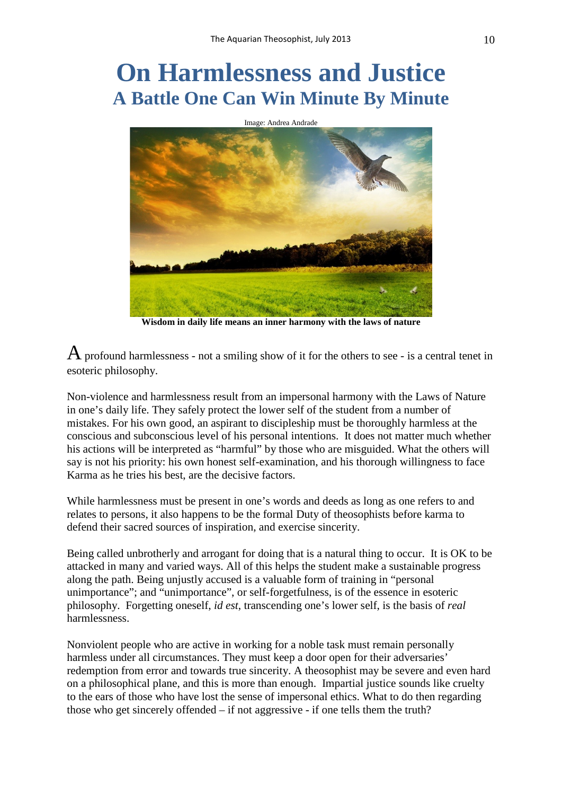## **On Harmlessness and Justice A Battle One Can Win Minute By Minute**



**Wisdom in daily life means an inner harmony with the laws of nature**

 $\bf{A}$  profound harmlessness - not a smiling show of it for the others to see - is a central tenet in esoteric philosophy.

Non-violence and harmlessness result from an impersonal harmony with the Laws of Nature in one's daily life. They safely protect the lower self of the student from a number of mistakes. For his own good, an aspirant to discipleship must be thoroughly harmless at the conscious and subconscious level of his personal intentions. It does not matter much whether his actions will be interpreted as "harmful" by those who are misguided. What the others will say is not his priority: his own honest self-examination, and his thorough willingness to face Karma as he tries his best, are the decisive factors.

While harmlessness must be present in one's words and deeds as long as one refers to and relates to persons, it also happens to be the formal Duty of theosophists before karma to defend their sacred sources of inspiration, and exercise sincerity.

Being called unbrotherly and arrogant for doing that is a natural thing to occur. It is OK to be attacked in many and varied ways. All of this helps the student make a sustainable progress along the path. Being unjustly accused is a valuable form of training in "personal unimportance"; and "unimportance", or self-forgetfulness, is of the essence in esoteric philosophy. Forgetting oneself, *id est*, transcending one's lower self, is the basis of *real* harmlessness.

Nonviolent people who are active in working for a noble task must remain personally harmless under all circumstances. They must keep a door open for their adversaries' redemption from error and towards true sincerity. A theosophist may be severe and even hard on a philosophical plane, and this is more than enough. Impartial justice sounds like cruelty to the ears of those who have lost the sense of impersonal ethics. What to do then regarding those who get sincerely offended – if not aggressive - if one tells them the truth?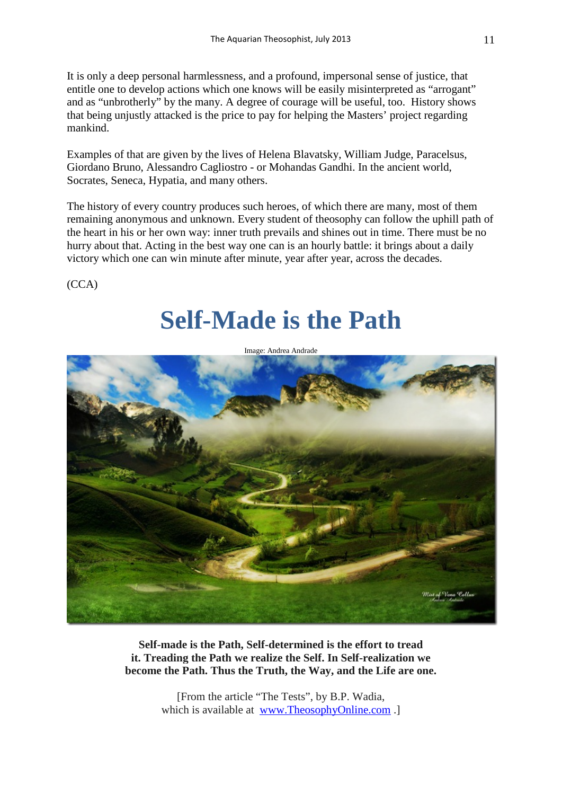It is only a deep personal harmlessness, and a profound, impersonal sense of justice, that entitle one to develop actions which one knows will be easily misinterpreted as "arrogant" and as "unbrotherly" by the many. A degree of courage will be useful, too. History shows that being unjustly attacked is the price to pay for helping the Masters' project regarding mankind.

Examples of that are given by the lives of Helena Blavatsky, William Judge, Paracelsus, Giordano Bruno, Alessandro Cagliostro - or Mohandas Gandhi. In the ancient world, Socrates, Seneca, Hypatia, and many others.

The history of every country produces such heroes, of which there are many, most of them remaining anonymous and unknown. Every student of theosophy can follow the uphill path of the heart in his or her own way: inner truth prevails and shines out in time. There must be no hurry about that. Acting in the best way one can is an hourly battle: it brings about a daily victory which one can win minute after minute, year after year, across the decades.

(CCA)

# **Self-Made is the Path**



**Self-made is the Path, Self-determined is the effort to tread it. Treading the Path we realize the Self. In Self-realization we become the Path. Thus the Truth, the Way, and the Life are one.**

> [From the article "The Tests", by B.P. Wadia, which is available at [www.TheosophyOnline.com](http://www.theosophyonline.com/) .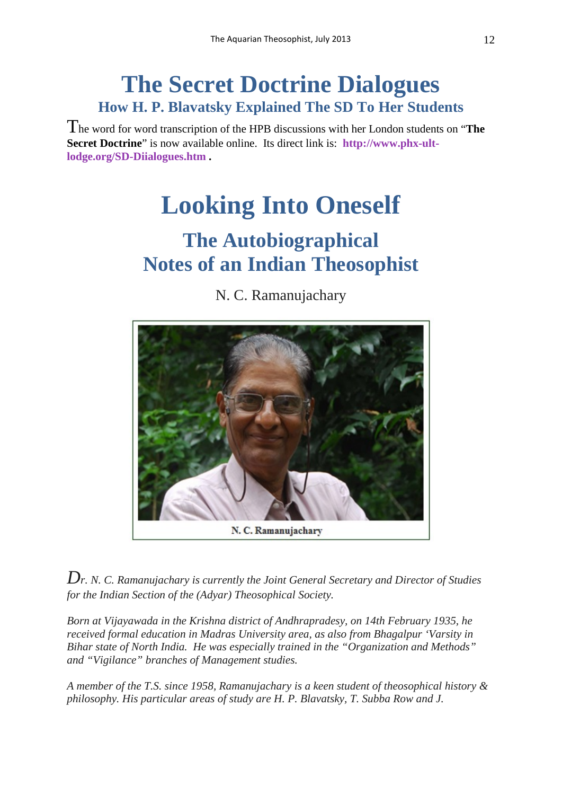### **The Secret Doctrine Dialogues How H. P. Blavatsky Explained The SD To Her Students**

The word for word transcription of the HPB discussions with her London students on "**The Secret Doctrine**" is now available online. Its direct link is: **[http://www.phx-ult](http://www.phx-ult-lodge.org/SD-Diialogues.htm)[lodge.org/SD-Diialogues.htm](http://www.phx-ult-lodge.org/SD-Diialogues.htm) .** 

# **Looking Into Oneself**

### **The Autobiographical Notes of an Indian Theosophist**

N. C. Ramanujachary



*Dr. N. C. Ramanujachary is currently the Joint General Secretary and Director of Studies for the Indian Section of the (Adyar) Theosophical Society.* 

*Born at Vijayawada in the Krishna district of Andhrapradesy, on 14th February 1935, he received formal education in Madras University area, as also from Bhagalpur 'Varsity in Bihar state of North India. He was especially trained in the "Organization and Methods" and "Vigilance" branches of Management studies.*

*A member of the T.S. since 1958, Ramanujachary is a keen student of theosophical history & philosophy. His particular areas of study are H. P. Blavatsky, T. Subba Row and J.*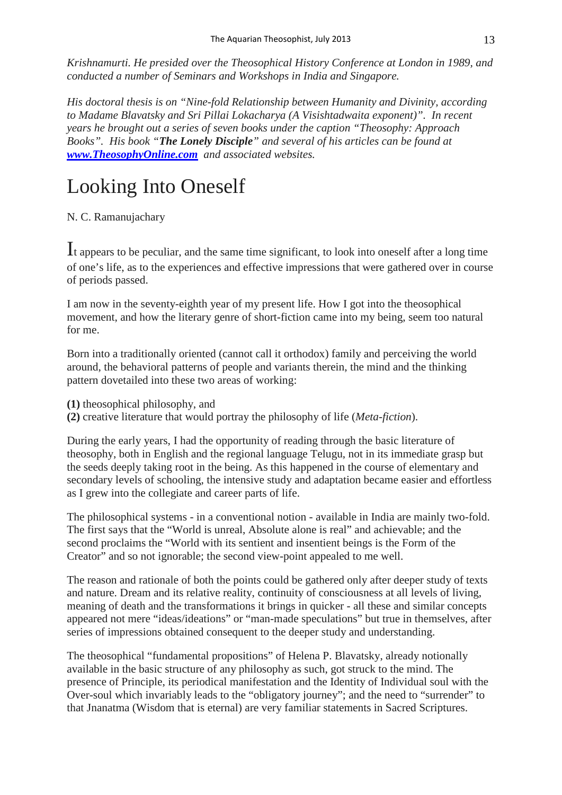*Krishnamurti. He presided over the Theosophical History Conference at London in 1989, and conducted a number of Seminars and Workshops in India and Singapore.* 

*His doctoral thesis is on "Nine-fold Relationship between Humanity and Divinity, according to Madame Blavatsky and Sri Pillai Lokacharya (A Visishtadwaita exponent)". In recent years he brought out a series of seven books under the caption "Theosophy: Approach Books". His book "The Lonely Disciple" and several of his articles can be found at [www.TheosophyOnline.com](http://www.theosophyonline.com/) and associated websites.* 

### Looking Into Oneself

N. C. Ramanujachary

It appears to be peculiar, and the same time significant, to look into oneself after a long time of one's life, as to the experiences and effective impressions that were gathered over in course of periods passed.

I am now in the seventy-eighth year of my present life. How I got into the theosophical movement, and how the literary genre of short-fiction came into my being, seem too natural for me.

Born into a traditionally oriented (cannot call it orthodox) family and perceiving the world around, the behavioral patterns of people and variants therein, the mind and the thinking pattern dovetailed into these two areas of working:

**(1)** theosophical philosophy, and

**(2)** creative literature that would portray the philosophy of life (*Meta-fiction*).

During the early years, I had the opportunity of reading through the basic literature of theosophy, both in English and the regional language Telugu, not in its immediate grasp but the seeds deeply taking root in the being. As this happened in the course of elementary and secondary levels of schooling, the intensive study and adaptation became easier and effortless as I grew into the collegiate and career parts of life.

The philosophical systems - in a conventional notion - available in India are mainly two-fold. The first says that the "World is unreal, Absolute alone is real" and achievable; and the second proclaims the "World with its sentient and insentient beings is the Form of the Creator" and so not ignorable; the second view-point appealed to me well.

The reason and rationale of both the points could be gathered only after deeper study of texts and nature. Dream and its relative reality, continuity of consciousness at all levels of living, meaning of death and the transformations it brings in quicker - all these and similar concepts appeared not mere "ideas/ideations" or "man-made speculations" but true in themselves, after series of impressions obtained consequent to the deeper study and understanding.

The theosophical "fundamental propositions" of Helena P. Blavatsky, already notionally available in the basic structure of any philosophy as such, got struck to the mind. The presence of Principle, its periodical manifestation and the Identity of Individual soul with the Over-soul which invariably leads to the "obligatory journey"; and the need to "surrender" to that Jnanatma (Wisdom that is eternal) are very familiar statements in Sacred Scriptures.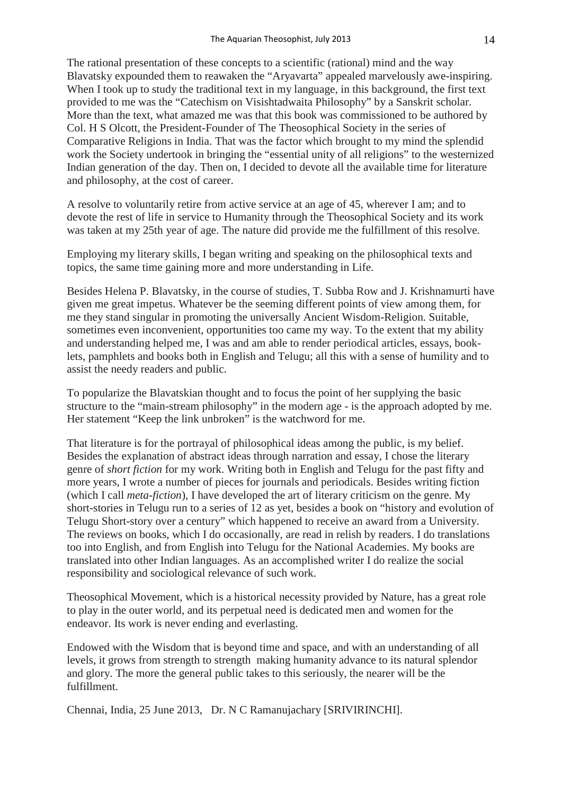The rational presentation of these concepts to a scientific (rational) mind and the way Blavatsky expounded them to reawaken the "Aryavarta" appealed marvelously awe-inspiring. When I took up to study the traditional text in my language, in this background, the first text provided to me was the "Catechism on Visishtadwaita Philosophy" by a Sanskrit scholar. More than the text, what amazed me was that this book was commissioned to be authored by Col. H S Olcott, the President-Founder of The Theosophical Society in the series of Comparative Religions in India. That was the factor which brought to my mind the splendid work the Society undertook in bringing the "essential unity of all religions" to the westernized Indian generation of the day. Then on, I decided to devote all the available time for literature and philosophy, at the cost of career.

A resolve to voluntarily retire from active service at an age of 45, wherever I am; and to devote the rest of life in service to Humanity through the Theosophical Society and its work was taken at my 25th year of age. The nature did provide me the fulfillment of this resolve.

Employing my literary skills, I began writing and speaking on the philosophical texts and topics, the same time gaining more and more understanding in Life.

Besides Helena P. Blavatsky, in the course of studies, T. Subba Row and J. Krishnamurti have given me great impetus. Whatever be the seeming different points of view among them, for me they stand singular in promoting the universally Ancient Wisdom-Religion. Suitable, sometimes even inconvenient, opportunities too came my way. To the extent that my ability and understanding helped me, I was and am able to render periodical articles, essays, booklets, pamphlets and books both in English and Telugu; all this with a sense of humility and to assist the needy readers and public.

To popularize the Blavatskian thought and to focus the point of her supplying the basic structure to the "main-stream philosophy" in the modern age - is the approach adopted by me. Her statement "Keep the link unbroken" is the watchword for me.

That literature is for the portrayal of philosophical ideas among the public, is my belief. Besides the explanation of abstract ideas through narration and essay, I chose the literary genre of *short fiction* for my work. Writing both in English and Telugu for the past fifty and more years, I wrote a number of pieces for journals and periodicals. Besides writing fiction (which I call *meta-fiction*), I have developed the art of literary criticism on the genre. My short-stories in Telugu run to a series of 12 as yet, besides a book on "history and evolution of Telugu Short-story over a century" which happened to receive an award from a University. The reviews on books, which I do occasionally, are read in relish by readers. I do translations too into English, and from English into Telugu for the National Academies. My books are translated into other Indian languages. As an accomplished writer I do realize the social responsibility and sociological relevance of such work.

Theosophical Movement, which is a historical necessity provided by Nature, has a great role to play in the outer world, and its perpetual need is dedicated men and women for the endeavor. Its work is never ending and everlasting.

Endowed with the Wisdom that is beyond time and space, and with an understanding of all levels, it grows from strength to strength making humanity advance to its natural splendor and glory. The more the general public takes to this seriously, the nearer will be the fulfillment.

Chennai, India, 25 June 2013, Dr. N C Ramanujachary [SRIVIRINCHI].